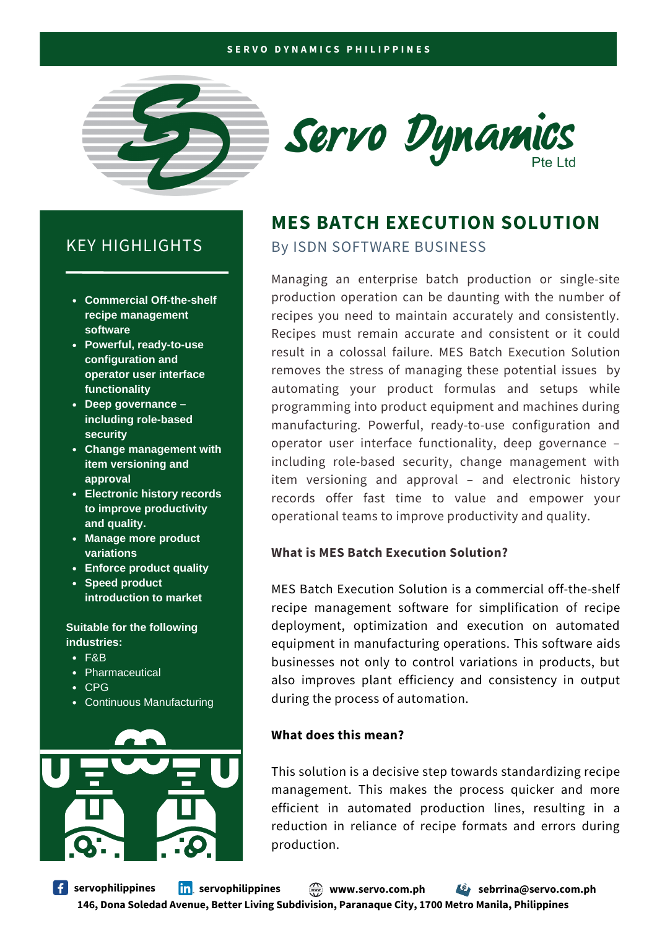#### **S E R V O D Y N A M I C S P H I L I P P I N E S**





# **MES BATCH EXECUTION SOLUTION**

KEY HIGHLIGHTS By ISDN SOFTWARE BUSINESS

Managing an enterprise batch production or single-site production operation can be daunting with the number of recipes you need to maintain accurately and consistently. Recipes must remain accurate and consistent or it could result in a colossal failure. MES Batch Execution Solution removes the stress of managing these potential issues by automating your product formulas and setups while programming into product equipment and machines during manufacturing. Powerful, ready-to-use configuration and operator user interface functionality, deep governance – including role-based security, change management with item versioning and approval – and electronic history records offer fast time to value and empower your operational teams to improve productivity and quality.

### **What is MES Batch Execution Solution?**

MES Batch Execution Solution is a commercial off-the-shelf recipe management software for simplification of recipe deployment, optimization and execution on automated equipment in manufacturing operations. This software aids businesses not only to control variations in products, but also improves plant efficiency and consistency in output during the process of automation.

### **What does this mean?**

This solution is a decisive step towards standardizing recipe management. This makes the process quicker and more efficient in automated production lines, resulting in a reduction in reliance of recipe formats and errors during production.

- **Commercial Off-the-shelf recipe management software**
- **Powerful, ready-to-use configuration and operator user interface functionality**
- **Deep governance – including role-based security**
- **Change management with item versioning and approval**
- **Electronic history records to improve productivity and quality.**
- **Manage more product variations**
- **Enforce product quality**
- **Speed product introduction to market**

#### **Suitable for the following industries:**

- F&B
- Pharmaceutical
- $\cdot$  CPG
- Continuous Manufacturing